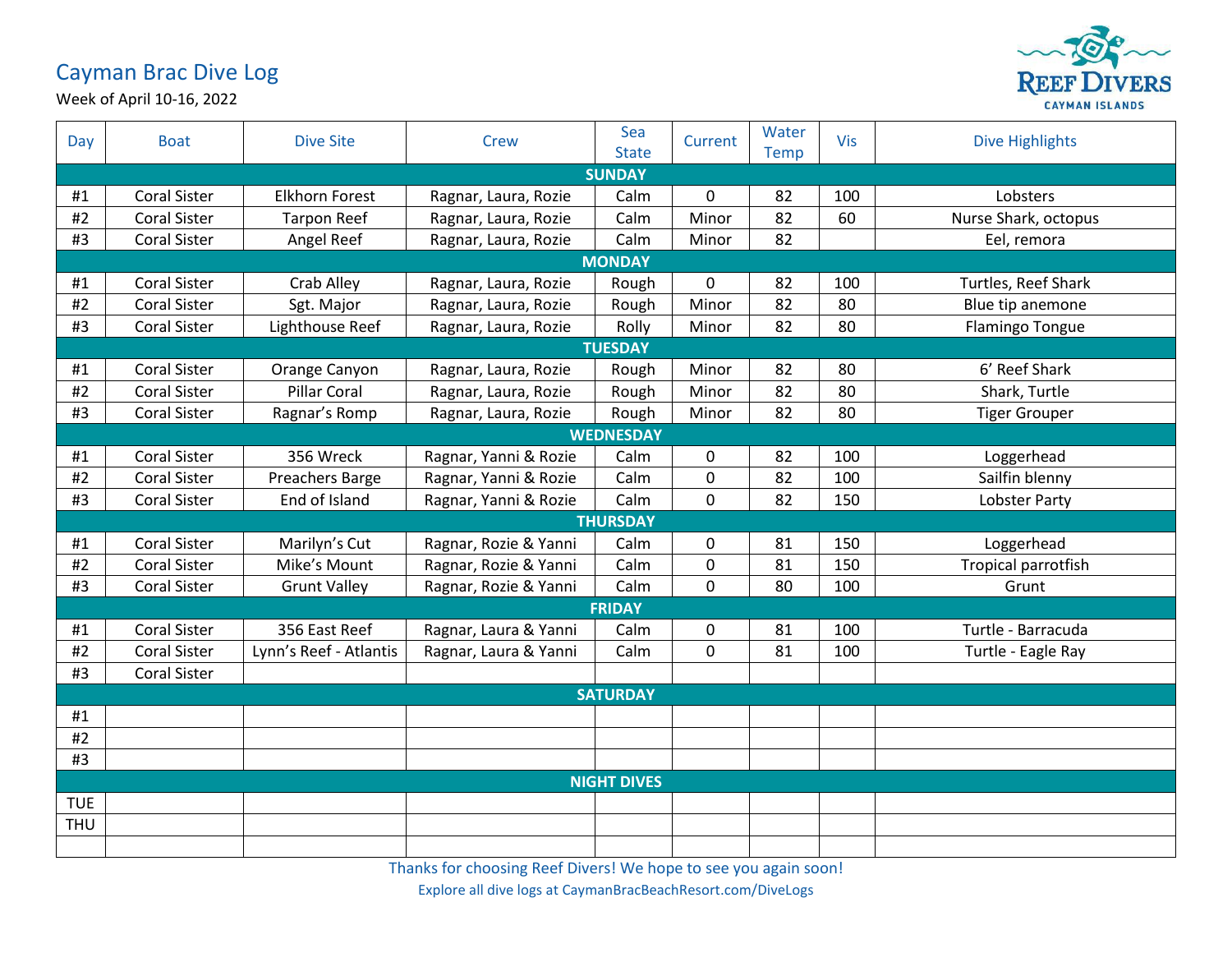## Cayman Brac Dive Log



Week of April 10-16, 2022

| Day                | <b>Boat</b>         | <b>Dive Site</b>       | <b>Crew</b>           | Sea<br><b>State</b> | Current      | Water<br><b>Temp</b> | <b>Vis</b> | <b>Dive Highlights</b>     |  |  |  |
|--------------------|---------------------|------------------------|-----------------------|---------------------|--------------|----------------------|------------|----------------------------|--|--|--|
| <b>SUNDAY</b>      |                     |                        |                       |                     |              |                      |            |                            |  |  |  |
| #1                 | <b>Coral Sister</b> | <b>Elkhorn Forest</b>  | Ragnar, Laura, Rozie  | Calm                | $\mathbf{0}$ | 82                   | 100        | Lobsters                   |  |  |  |
| #2                 | <b>Coral Sister</b> | <b>Tarpon Reef</b>     | Ragnar, Laura, Rozie  | Calm                | Minor        | 82                   | 60         | Nurse Shark, octopus       |  |  |  |
| #3                 | <b>Coral Sister</b> | Angel Reef             | Ragnar, Laura, Rozie  | Calm                | Minor        | 82                   |            | Eel, remora                |  |  |  |
| <b>MONDAY</b>      |                     |                        |                       |                     |              |                      |            |                            |  |  |  |
| #1                 | <b>Coral Sister</b> | Crab Alley             | Ragnar, Laura, Rozie  | Rough               | 0            | 82                   | 100        | Turtles, Reef Shark        |  |  |  |
| #2                 | <b>Coral Sister</b> | Sgt. Major             | Ragnar, Laura, Rozie  | Rough               | Minor        | 82                   | 80         | Blue tip anemone           |  |  |  |
| #3                 | <b>Coral Sister</b> | Lighthouse Reef        | Ragnar, Laura, Rozie  | Rolly               | Minor        | 82                   | 80         | <b>Flamingo Tongue</b>     |  |  |  |
|                    | <b>TUESDAY</b>      |                        |                       |                     |              |                      |            |                            |  |  |  |
| #1                 | <b>Coral Sister</b> | Orange Canyon          | Ragnar, Laura, Rozie  | Rough               | Minor        | 82                   | 80         | 6' Reef Shark              |  |  |  |
| #2                 | <b>Coral Sister</b> | Pillar Coral           | Ragnar, Laura, Rozie  | Rough               | Minor        | 82                   | 80         | Shark, Turtle              |  |  |  |
| #3                 | Coral Sister        | Ragnar's Romp          | Ragnar, Laura, Rozie  | Rough               | Minor        | 82                   | 80         | <b>Tiger Grouper</b>       |  |  |  |
|                    | <b>WEDNESDAY</b>    |                        |                       |                     |              |                      |            |                            |  |  |  |
| #1                 | <b>Coral Sister</b> | 356 Wreck              | Ragnar, Yanni & Rozie | Calm                | 0            | 82                   | 100        | Loggerhead                 |  |  |  |
| #2                 | <b>Coral Sister</b> | Preachers Barge        | Ragnar, Yanni & Rozie | Calm                | $\mathbf 0$  | 82                   | 100        | Sailfin blenny             |  |  |  |
| #3                 | <b>Coral Sister</b> | End of Island          | Ragnar, Yanni & Rozie | Calm                | 0            | 82                   | 150        | Lobster Party              |  |  |  |
|                    | <b>THURSDAY</b>     |                        |                       |                     |              |                      |            |                            |  |  |  |
| #1                 | <b>Coral Sister</b> | Marilyn's Cut          | Ragnar, Rozie & Yanni | Calm                | 0            | 81                   | 150        | Loggerhead                 |  |  |  |
| #2                 | <b>Coral Sister</b> | Mike's Mount           | Ragnar, Rozie & Yanni | Calm                | 0            | 81                   | 150        | <b>Tropical parrotfish</b> |  |  |  |
| #3                 | <b>Coral Sister</b> | <b>Grunt Valley</b>    | Ragnar, Rozie & Yanni | Calm                | 0            | 80                   | 100        | Grunt                      |  |  |  |
| <b>FRIDAY</b>      |                     |                        |                       |                     |              |                      |            |                            |  |  |  |
| #1                 | <b>Coral Sister</b> | 356 East Reef          | Ragnar, Laura & Yanni | Calm                | 0            | 81                   | 100        | Turtle - Barracuda         |  |  |  |
| #2                 | <b>Coral Sister</b> | Lynn's Reef - Atlantis | Ragnar, Laura & Yanni | Calm                | 0            | 81                   | 100        | Turtle - Eagle Ray         |  |  |  |
| #3                 | <b>Coral Sister</b> |                        |                       |                     |              |                      |            |                            |  |  |  |
| <b>SATURDAY</b>    |                     |                        |                       |                     |              |                      |            |                            |  |  |  |
| #1                 |                     |                        |                       |                     |              |                      |            |                            |  |  |  |
| #2                 |                     |                        |                       |                     |              |                      |            |                            |  |  |  |
| #3                 |                     |                        |                       |                     |              |                      |            |                            |  |  |  |
| <b>NIGHT DIVES</b> |                     |                        |                       |                     |              |                      |            |                            |  |  |  |
| <b>TUE</b>         |                     |                        |                       |                     |              |                      |            |                            |  |  |  |
| THU                |                     |                        |                       |                     |              |                      |            |                            |  |  |  |
|                    |                     |                        |                       |                     |              |                      |            |                            |  |  |  |

Thanks for choosing Reef Divers! We hope to see you again soon!

Explore all dive logs at CaymanBracBeachResort.com/DiveLogs